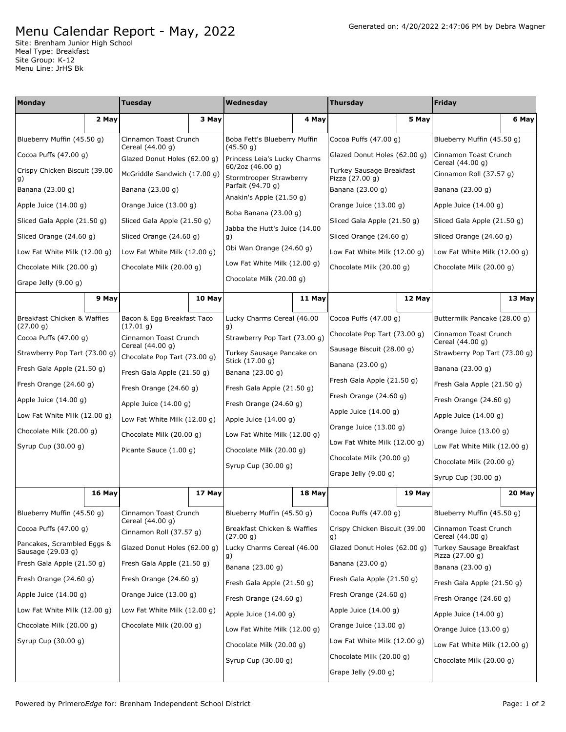## Menu Calendar Report - May, 2022

Site: Brenham Junior High School Meal Type: Breakfast Site Group: K-12 Menu Line: JrHS Bk

| <b>Monday</b>                                   |        | Tuesday                                          |        | Wednesday                                              |        | <b>Thursday</b>                             |        | <b>Friday</b>                             |        |
|-------------------------------------------------|--------|--------------------------------------------------|--------|--------------------------------------------------------|--------|---------------------------------------------|--------|-------------------------------------------|--------|
|                                                 | 2 May  |                                                  | 3 May  |                                                        | 4 May  |                                             | 5 May  |                                           | 6 May  |
| Blueberry Muffin (45.50 g)                      |        | Cinnamon Toast Crunch<br>Cereal (44.00 g)        |        | Boba Fett's Blueberry Muffin<br>(45.50 g)              |        | Cocoa Puffs $(47.00 g)$                     |        | Blueberry Muffin (45.50 g)                |        |
| Cocoa Puffs $(47.00 g)$                         |        | Glazed Donut Holes (62.00 g)                     |        | Princess Leia's Lucky Charms                           |        | Glazed Donut Holes (62.00 q)                |        | Cinnamon Toast Crunch<br>Cereal (44.00 g) |        |
| Crispy Chicken Biscuit (39.00<br>g)             |        | McGriddle Sandwich (17.00 g)                     |        | 60/2oz (46.00 g)<br>Stormtrooper Strawberry            |        | Turkey Sausage Breakfast<br>Pizza (27.00 g) |        | Cinnamon Roll (37.57 g)                   |        |
| Banana (23.00 g)                                |        | Banana (23.00 g)                                 |        | Parfait (94.70 g)                                      |        | Banana (23.00 g)                            |        | Banana (23.00 g)                          |        |
| Apple Juice $(14.00 g)$                         |        | Orange Juice (13.00 g)                           |        | Anakin's Apple (21.50 g)                               |        | Orange Juice (13.00 g)                      |        | Apple Juice $(14.00 g)$                   |        |
| Sliced Gala Apple (21.50 g)                     |        | Sliced Gala Apple (21.50 q)                      |        | Boba Banana (23.00 g)<br>Jabba the Hutt's Juice (14.00 |        | Sliced Gala Apple (21.50 g)                 |        | Sliced Gala Apple (21.50 g)               |        |
| Sliced Orange (24.60 g)                         |        | Sliced Orange (24.60 g)                          |        | g)                                                     |        | Sliced Orange (24.60 g)                     |        | Sliced Orange (24.60 g)                   |        |
| Low Fat White Milk $(12.00 g)$                  |        | Low Fat White Milk (12.00 g)                     |        | Obi Wan Orange (24.60 g)                               |        | Low Fat White Milk $(12.00 g)$              |        | Low Fat White Milk (12.00 g)              |        |
| Chocolate Milk (20.00 g)                        |        | Chocolate Milk (20.00 g)                         |        | Low Fat White Milk (12.00 g)                           |        | Chocolate Milk (20.00 g)                    |        | Chocolate Milk (20.00 g)                  |        |
| Grape Jelly (9.00 g)                            |        |                                                  |        | Chocolate Milk (20.00 g)                               |        |                                             |        |                                           |        |
|                                                 | 9 May  |                                                  | 10 May |                                                        | 11 May |                                             | 12 May |                                           | 13 May |
| Breakfast Chicken & Waffles<br>(27.00 g)        |        | Bacon & Egg Breakfast Taco<br>(17.01 g)          |        | Lucky Charms Cereal (46.00<br>g)                       |        | Cocoa Puffs $(47.00 g)$                     |        | Buttermilk Pancake (28.00 g)              |        |
| Cocoa Puffs $(47.00 g)$                         |        | Cinnamon Toast Crunch                            |        | Strawberry Pop Tart (73.00 q)                          |        | Chocolate Pop Tart (73.00 g)                |        | Cinnamon Toast Crunch<br>Cereal (44.00 q) |        |
| Strawberry Pop Tart (73.00 g)                   |        | Cereal (44.00 g)<br>Chocolate Pop Tart (73.00 g) |        | Turkey Sausage Pancake on                              |        | Sausage Biscuit (28.00 g)                   |        | Strawberry Pop Tart (73.00 g)             |        |
| Fresh Gala Apple (21.50 g)                      |        | Fresh Gala Apple (21.50 g)                       |        | Stick (17.00 g)<br>Banana (23.00 g)                    |        | Banana (23.00 g)                            |        | Banana (23.00 g)                          |        |
| Fresh Orange (24.60 g)                          |        | Fresh Orange $(24.60 g)$                         |        | Fresh Gala Apple (21.50 g)                             |        | Fresh Gala Apple (21.50 g)                  |        | Fresh Gala Apple (21.50 g)                |        |
| Apple Juice (14.00 g)                           |        | Apple Juice $(14.00 g)$                          |        | Fresh Orange $(24.60 g)$                               |        | Fresh Orange (24.60 g)                      |        | Fresh Orange (24.60 g)                    |        |
| Low Fat White Milk (12.00 g)                    |        | Low Fat White Milk (12.00 g)                     |        | Apple Juice $(14.00 g)$                                |        | Apple Juice $(14.00 g)$                     |        | Apple Juice $(14.00 g)$                   |        |
| Chocolate Milk (20.00 g)                        |        | Chocolate Milk (20.00 g)                         |        | Low Fat White Milk (12.00 g)                           |        | Orange Juice (13.00 g)                      |        | Orange Juice (13.00 g)                    |        |
| Syrup Cup (30.00 g)                             |        | Picante Sauce (1.00 g)                           |        | Chocolate Milk (20.00 g)                               |        | Low Fat White Milk (12.00 g)                |        | Low Fat White Milk (12.00 g)              |        |
|                                                 |        |                                                  |        | Syrup Cup (30.00 g)                                    |        | Chocolate Milk (20.00 g)                    |        | Chocolate Milk (20.00 g)                  |        |
|                                                 |        |                                                  |        |                                                        |        | Grape Jelly (9.00 g)                        |        | Syrup Cup (30.00 g)                       |        |
|                                                 | 16 May |                                                  | 17 May |                                                        | 18 May |                                             | 19 May |                                           | 20 May |
| Blueberry Muffin (45.50 g)                      |        | Cinnamon Toast Crunch                            |        | Blueberry Muffin (45.50 g)                             |        | Cocoa Puffs $(47.00 g)$                     |        | Blueberry Muffin (45.50 g)                |        |
| Cocoa Puffs $(47.00 g)$                         |        | Cereal (44.00 g)<br>Cinnamon Roll (37.57 g)      |        | Breakfast Chicken & Waffles<br>(27.00 g)               |        | Crispy Chicken Biscuit (39.00<br>g)         |        | Cinnamon Toast Crunch<br>Cereal (44.00 g) |        |
| Pancakes, Scrambled Eggs &<br>Sausage (29.03 g) |        | Glazed Donut Holes (62.00 g)                     |        | Lucky Charms Cereal (46.00                             |        | Glazed Donut Holes (62.00 q)                |        | Turkey Sausage Breakfast                  |        |
| Fresh Gala Apple (21.50 g)                      |        | Fresh Gala Apple (21.50 g)                       |        | g)<br>Banana (23.00 g)                                 |        | Banana (23.00 g)                            |        | Pizza (27.00 g)<br>Banana (23.00 g)       |        |
| Fresh Orange (24.60 g)                          |        | Fresh Orange (24.60 g)                           |        | Fresh Gala Apple (21.50 g)                             |        | Fresh Gala Apple (21.50 g)                  |        | Fresh Gala Apple (21.50 g)                |        |
| Apple Juice $(14.00 g)$                         |        | Orange Juice (13.00 g)                           |        | Fresh Orange (24.60 g)                                 |        | Fresh Orange (24.60 g)                      |        | Fresh Orange (24.60 g)                    |        |
| Low Fat White Milk (12.00 g)                    |        | Low Fat White Milk (12.00 g)                     |        | Apple Juice $(14.00 g)$                                |        | Apple Juice $(14.00 g)$                     |        | Apple Juice (14.00 g)                     |        |
| Chocolate Milk (20.00 g)                        |        | Chocolate Milk (20.00 g)                         |        | Low Fat White Milk (12.00 g)                           |        | Orange Juice (13.00 g)                      |        | Orange Juice (13.00 g)                    |        |
| Syrup Cup (30.00 g)                             |        |                                                  |        | Chocolate Milk (20.00 g)                               |        | Low Fat White Milk (12.00 g)                |        | Low Fat White Milk (12.00 g)              |        |
|                                                 |        |                                                  |        | Syrup Cup (30.00 g)                                    |        | Chocolate Milk (20.00 g)                    |        | Chocolate Milk (20.00 g)                  |        |
|                                                 |        |                                                  |        |                                                        |        | Grape Jelly (9.00 g)                        |        |                                           |        |